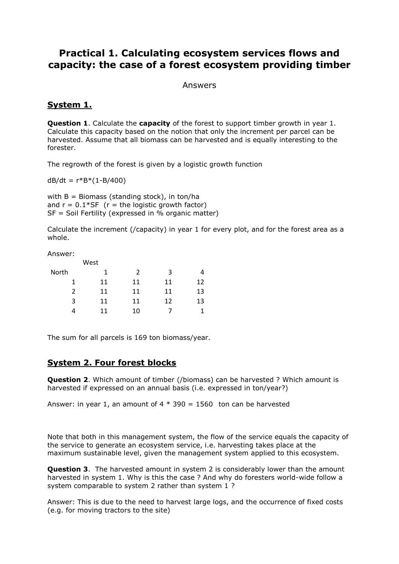# **Practical 1. Calculating ecosystem services flows and capacity: the case of a forest ecosystem providing timber**

#### Answers

### **System 1.**

**Question 1**. Calculate the **capacity** of the forest to support timber growth in year 1. Calculate this capacity based on the notion that only the increment per parcel can be harvested. Assume that all biomass can be harvested and is equally interesting to the forester.

The regrowth of the forest is given by a logistic growth function

 $dB/dt = r*B*(1-B/400)$ 

with  $B = Biomass$  (standing stock), in ton/ha and  $r = 0.1*SF$  ( $r = the logistic growth factor$ ) SF = Soil Fertility (expressed in % organic matter)

Calculate the increment (/capacity) in year 1 for every plot, and for the forest area as a whole.

Answer:

|       | West<br>1<br>11 |    |    |    |
|-------|-----------------|----|----|----|
| North |                 | 2  | 3  |    |
|       |                 | 11 | 11 | 12 |
| 2     | 11              | 11 | 11 | 13 |
| 3     | 11              | 11 | 12 | 13 |
|       | 11              | 10 |    |    |

The sum for all parcels is 169 ton biomass/year.

# **System 2. Four forest blocks**

**Question 2**. Which amount of timber (/biomass) can be harvested ? Which amount is harvested if expressed on an annual basis (i.e. expressed in ton/year?)

Answer: in year 1, an amount of  $4 * 390 = 1560$  ton can be harvested

Note that both in this management system, the flow of the service equals the capacity of the service to generate an ecosystem service, i.e. harvesting takes place at the maximum sustainable level, given the management system applied to this ecosystem.

**Question 3**. The harvested amount in system 2 is considerably lower than the amount harvested in system 1. Why is this the case ? And why do foresters world-wide follow a system comparable to system 2 rather than system 1 ?

Answer: This is due to the need to harvest large logs, and the occurrence of fixed costs (e.g. for moving tractors to the site)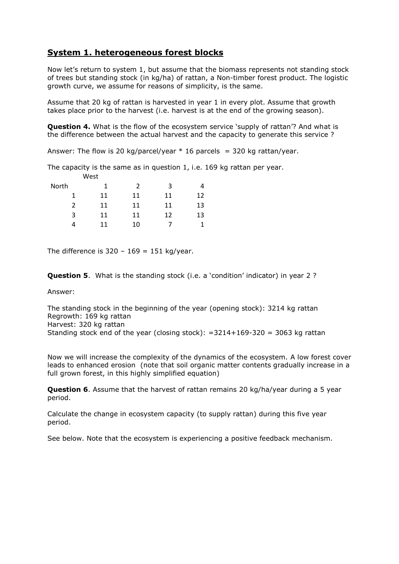## **System 1. heterogeneous forest blocks**

Now let's return to system 1, but assume that the biomass represents not standing stock of trees but standing stock (in kg/ha) of rattan, a Non-timber forest product. The logistic growth curve, we assume for reasons of simplicity, is the same.

Assume that 20 kg of rattan is harvested in year 1 in every plot. Assume that growth takes place prior to the harvest (i.e. harvest is at the end of the growing season).

**Question 4.** What is the flow of the ecosystem service 'supply of rattan'? And what is the difference between the actual harvest and the capacity to generate this service ?

Answer: The flow is 20 kg/parcel/year  $*$  16 parcels = 320 kg rattan/year.

The capacity is the same as in question 1, i.e. 169 kg rattan per year.

|       | West |               |    |    |
|-------|------|---------------|----|----|
| North | 1    | $\mathcal{P}$ | 3  | 4  |
| 1     | 11   | 11            | 11 | 12 |
| 2     | 11   | 11            | 11 | 13 |
| 3     | 11   | 11            | 12 | 13 |
|       | 11   | 10            |    |    |

The difference is  $320 - 169 = 151$  kg/year.

**Question 5**. What is the standing stock (i.e. a 'condition' indicator) in year 2 ?

Answer:

The standing stock in the beginning of the year (opening stock): 3214 kg rattan Regrowth: 169 kg rattan Harvest: 320 kg rattan Standing stock end of the year (closing stock):  $=3214+169-320 = 3063$  kg rattan

Now we will increase the complexity of the dynamics of the ecosystem. A low forest cover leads to enhanced erosion (note that soil organic matter contents gradually increase in a full grown forest, in this highly simplified equation)

**Question 6**. Assume that the harvest of rattan remains 20 kg/ha/year during a 5 year period.

Calculate the change in ecosystem capacity (to supply rattan) during this five year period.

See below. Note that the ecosystem is experiencing a positive feedback mechanism.